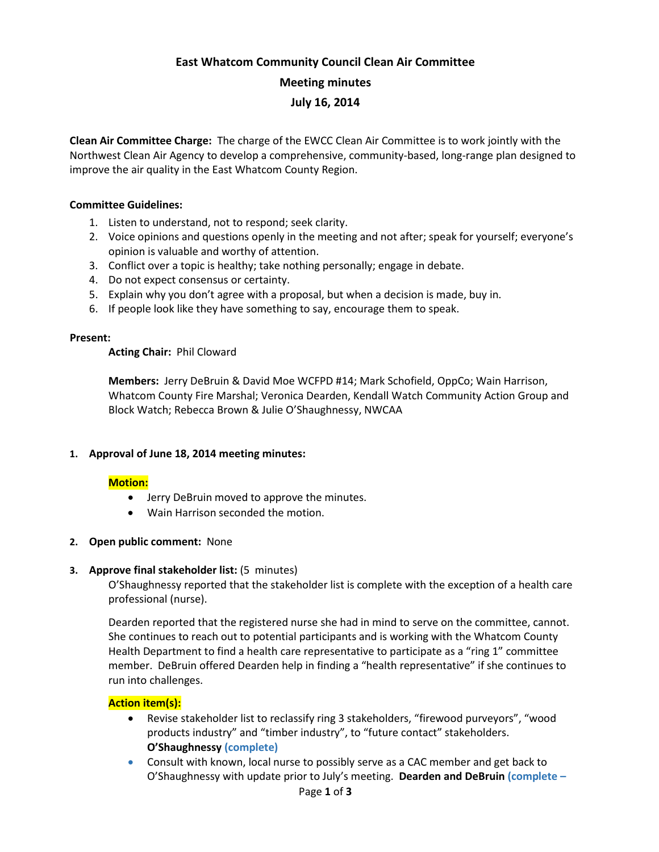# **East Whatcom Community Council Clean Air Committee Meeting minutes**

## **July 16, 2014**

**Clean Air Committee Charge:** The charge of the EWCC Clean Air Committee is to work jointly with the Northwest Clean Air Agency to develop a comprehensive, community-based, long-range plan designed to improve the air quality in the East Whatcom County Region.

#### **Committee Guidelines:**

- 1. Listen to understand, not to respond; seek clarity.
- 2. Voice opinions and questions openly in the meeting and not after; speak for yourself; everyone's opinion is valuable and worthy of attention.
- 3. Conflict over a topic is healthy; take nothing personally; engage in debate.
- 4. Do not expect consensus or certainty.
- 5. Explain why you don't agree with a proposal, but when a decision is made, buy in.
- 6. If people look like they have something to say, encourage them to speak.

#### **Present:**

**Acting Chair:** Phil Cloward

**Members:** Jerry DeBruin & David Moe WCFPD #14; Mark Schofield, OppCo; Wain Harrison, Whatcom County Fire Marshal; Veronica Dearden, Kendall Watch Community Action Group and Block Watch; Rebecca Brown & Julie O'Shaughnessy, NWCAA

#### **1. Approval of June 18, 2014 meeting minutes:**

#### **Motion:**

- Jerry DeBruin moved to approve the minutes.
- Wain Harrison seconded the motion.

#### **2. Open public comment:** None

#### **3. Approve final stakeholder list:** (5 minutes)

O'Shaughnessy reported that the stakeholder list is complete with the exception of a health care professional (nurse).

Dearden reported that the registered nurse she had in mind to serve on the committee, cannot. She continues to reach out to potential participants and is working with the Whatcom County Health Department to find a health care representative to participate as a "ring 1" committee member. DeBruin offered Dearden help in finding a "health representative" if she continues to run into challenges.

#### **Action item(s):**

- Revise stakeholder list to reclassify ring 3 stakeholders, "firewood purveyors", "wood products industry" and "timber industry", to "future contact" stakeholders. **O'Shaughnessy (complete)**
- Consult with known, local nurse to possibly serve as a CAC member and get back to O'Shaughnessy with update prior to July's meeting. **Dearden and DeBruin (complete –**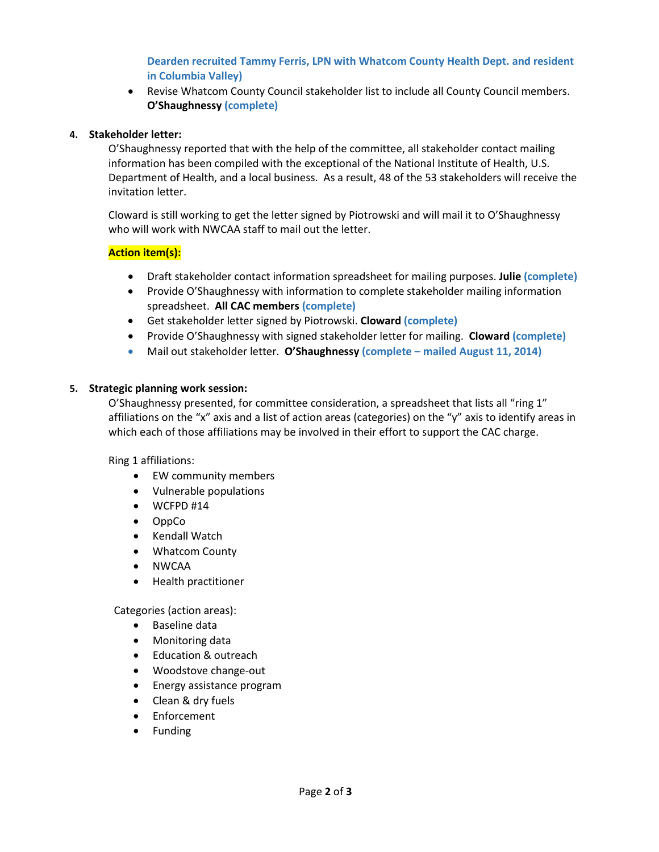# **Dearden recruited Tammy Ferris, LPN with Whatcom County Health Dept. and resident in Columbia Valley)**

• Revise Whatcom County Council stakeholder list to include all County Council members. **O'Shaughnessy (complete)**

## **4. Stakeholder letter:**

O'Shaughnessy reported that with the help of the committee, all stakeholder contact mailing information has been compiled with the exceptional of the National Institute of Health, U.S. Department of Health, and a local business. As a result, 48 of the 53 stakeholders will receive the invitation letter.

Cloward is still working to get the letter signed by Piotrowski and will mail it to O'Shaughnessy who will work with NWCAA staff to mail out the letter.

## **Action item(s):**

- Draft stakeholder contact information spreadsheet for mailing purposes. **Julie (complete)**
- Provide O'Shaughnessy with information to complete stakeholder mailing information spreadsheet. **All CAC members (complete)**
- Get stakeholder letter signed by Piotrowski. **Cloward (complete)**
- Provide O'Shaughnessy with signed stakeholder letter for mailing. **Cloward (complete)**
- Mail out stakeholder letter. **O'Shaughnessy (complete – mailed August 11, 2014)**

#### **5. Strategic planning work session:**

O'Shaughnessy presented, for committee consideration, a spreadsheet that lists all "ring 1" affiliations on the "x" axis and a list of action areas (categories) on the "y" axis to identify areas in which each of those affiliations may be involved in their effort to support the CAC charge.

Ring 1 affiliations:

- EW community members
- Vulnerable populations
- WCFPD #14
- OppCo
- Kendall Watch
- Whatcom County
- NWCAA
- Health practitioner

Categories (action areas):

- Baseline data
- Monitoring data
- Education & outreach
- Woodstove change-out
- Energy assistance program
- Clean & dry fuels
- Enforcement
- Funding